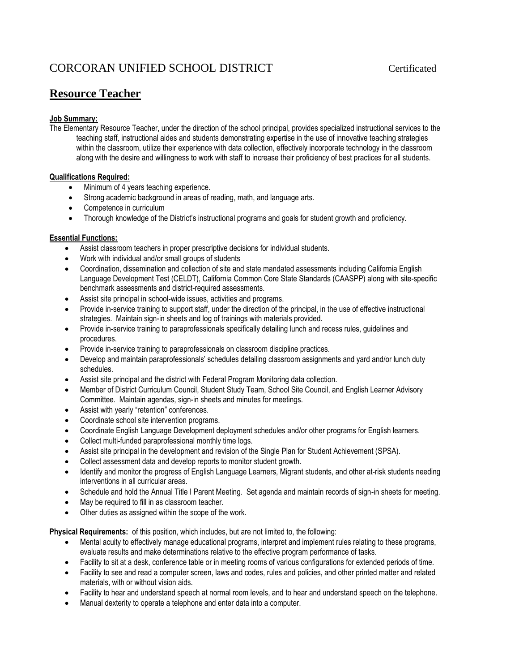# CORCORAN UNIFIED SCHOOL DISTRICT Certificated

# **Resource Teacher**

## **Job Summary:**

The Elementary Resource Teacher, under the direction of the school principal, provides specialized instructional services to the teaching staff, instructional aides and students demonstrating expertise in the use of innovative teaching strategies within the classroom, utilize their experience with data collection, effectively incorporate technology in the classroom along with the desire and willingness to work with staff to increase their proficiency of best practices for all students.

## **Qualifications Required:**

- $\bullet$  Minimum of 4 years teaching experience.
- Strong academic background in areas of reading, math, and language arts.
- Competence in curriculum
- Thorough knowledge of the District's instructional programs and goals for student growth and proficiency.

#### **Essential Functions:**

- Assist classroom teachers in proper prescriptive decisions for individual students.
- Work with individual and/or small groups of students
- Coordination, dissemination and collection of site and state mandated assessments including California English Language Development Test (CELDT), California Common Core State Standards (CAASPP) along with site-specific benchmark assessments and district-required assessments.
- Assist site principal in school-wide issues, activities and programs.
- Provide in-service training to support staff, under the direction of the principal, in the use of effective instructional strategies. Maintain sign-in sheets and log of trainings with materials provided.
- Provide in-service training to paraprofessionals specifically detailing lunch and recess rules, guidelines and procedures.
- Provide in-service training to paraprofessionals on classroom discipline practices.
- Develop and maintain paraprofessionals' schedules detailing classroom assignments and yard and/or lunch duty schedules.
- Assist site principal and the district with Federal Program Monitoring data collection.
- Member of District Curriculum Council, Student Study Team, School Site Council, and English Learner Advisory Committee. Maintain agendas, sign-in sheets and minutes for meetings.
- Assist with yearly "retention" conferences.
- Coordinate school site intervention programs.
- Coordinate English Language Development deployment schedules and/or other programs for English learners.
- Collect multi-funded paraprofessional monthly time logs.
- Assist site principal in the development and revision of the Single Plan for Student Achievement (SPSA).
- Collect assessment data and develop reports to monitor student growth.
- Identify and monitor the progress of English Language Learners, Migrant students, and other at-risk students needing interventions in all curricular areas.
- Schedule and hold the Annual Title I Parent Meeting. Set agenda and maintain records of sign-in sheets for meeting.
- May be required to fill in as classroom teacher.
- Other duties as assigned within the scope of the work.

**Physical Requirements:** of this position, which includes, but are not limited to, the following:

- Mental acuity to effectively manage educational programs, interpret and implement rules relating to these programs, evaluate results and make determinations relative to the effective program performance of tasks.
- Facility to sit at a desk, conference table or in meeting rooms of various configurations for extended periods of time.
- Facility to see and read a computer screen, laws and codes, rules and policies, and other printed matter and related materials, with or without vision aids.
- Facility to hear and understand speech at normal room levels, and to hear and understand speech on the telephone.
- Manual dexterity to operate a telephone and enter data into a computer.